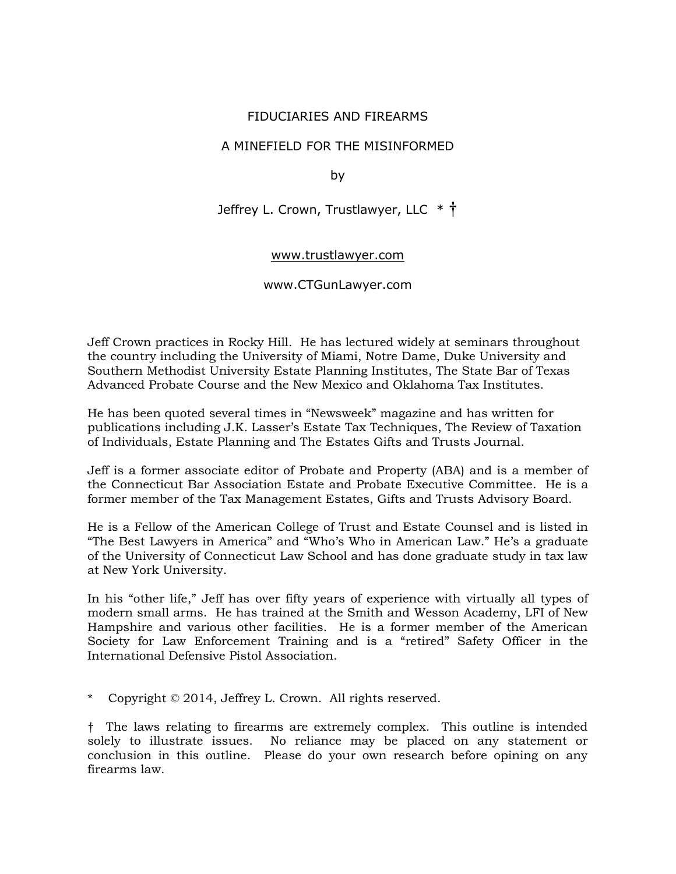# FIDUCIARIES AND FIREARMS

# A MINEFIELD FOR THE MISINFORMED

by

Jeffrey L. Crown, Trustlawyer, LLC \* †

#### [www.trustlawyer.com](http://www.trustlawyer.com/)

# www.CTGunLawyer.com

Jeff Crown practices in Rocky Hill. He has lectured widely at seminars throughout the country including the University of Miami, Notre Dame, Duke University and Southern Methodist University Estate Planning Institutes, The State Bar of Texas Advanced Probate Course and the New Mexico and Oklahoma Tax Institutes.

He has been quoted several times in "Newsweek" magazine and has written for publications including J.K. Lasser's Estate Tax Techniques, The Review of Taxation of Individuals, Estate Planning and The Estates Gifts and Trusts Journal.

Jeff is a former associate editor of Probate and Property (ABA) and is a member of the Connecticut Bar Association Estate and Probate Executive Committee. He is a former member of the Tax Management Estates, Gifts and Trusts Advisory Board.

He is a Fellow of the American College of Trust and Estate Counsel and is listed in "The Best Lawyers in America" and "Who's Who in American Law." He's a graduate of the University of Connecticut Law School and has done graduate study in tax law at New York University.

In his "other life," Jeff has over fifty years of experience with virtually all types of modern small arms. He has trained at the Smith and Wesson Academy, LFI of New Hampshire and various other facilities. He is a former member of the American Society for Law Enforcement Training and is a "retired" Safety Officer in the International Defensive Pistol Association.

Copyright © 2014, Jeffrey L. Crown. All rights reserved.

† The laws relating to firearms are extremely complex. This outline is intended solely to illustrate issues. No reliance may be placed on any statement or conclusion in this outline. Please do your own research before opining on any firearms law.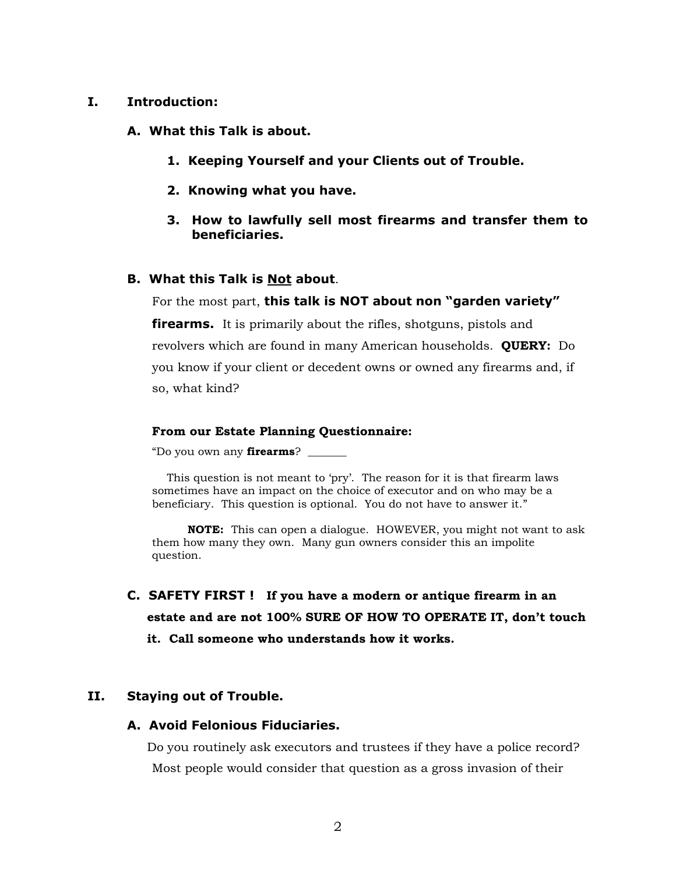#### **I. Introduction:**

**A. What this Talk is about.**

- **1. Keeping Yourself and your Clients out of Trouble.**
- **2. Knowing what you have.**
- **3. How to lawfully sell most firearms and transfer them to beneficiaries.**

### **B. What this Talk is Not about**.

For the most part, **this talk is NOT about non "garden variety"** 

**firearms.** It is primarily about the rifles, shotguns, pistols and revolvers which are found in many American households. **QUERY:** Do you know if your client or decedent owns or owned any firearms and, if so, what kind?

#### **From our Estate Planning Questionnaire:**

"Do you own any **firearms**? \_\_\_\_\_\_\_

This question is not meant to 'pry'. The reason for it is that firearm laws sometimes have an impact on the choice of executor and on who may be a beneficiary. This question is optional. You do not have to answer it."

 **NOTE:** This can open a dialogue. HOWEVER, you might not want to ask them how many they own. Many gun owners consider this an impolite question.

**C. SAFETY FIRST ! If you have a modern or antique firearm in an estate and are not 100% SURE OF HOW TO OPERATE IT, don't touch it. Call someone who understands how it works.**

# **II. Staying out of Trouble.**

#### **A. Avoid Felonious Fiduciaries.**

Do you routinely ask executors and trustees if they have a police record? Most people would consider that question as a gross invasion of their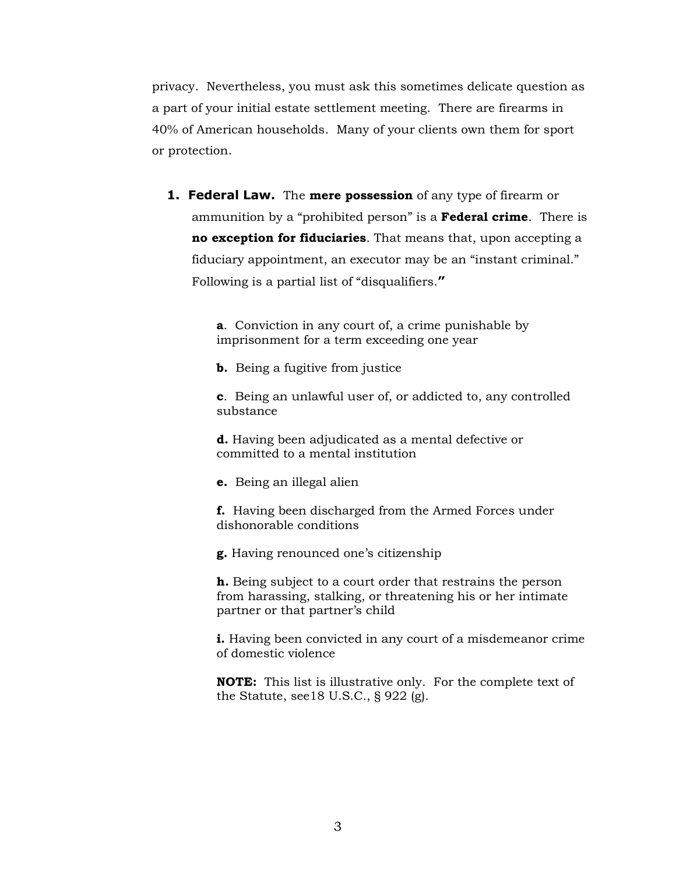privacy. Nevertheless, you must ask this sometimes delicate question as a part of your initial estate settlement meeting. There are firearms in 40% of American households. Many of your clients own them for sport or protection.

**1. Federal Law.** The **mere possession** of any type of firearm or ammunition by a "prohibited person" is a **Federal crime**. There is **no exception for fiduciaries**. That means that, upon accepting a fiduciary appointment, an executor may be an "instant criminal." Following is a partial list of "disqualifiers.**"**

> **a**. Conviction in any court of, a crime punishable by imprisonment for a term exceeding one year

**b.** Being a fugitive from justice

**c**. Being an unlawful user of, or addicted to, any controlled substance

**d.** Having been adjudicated as a mental defective or committed to a mental institution

**e.** Being an illegal alien

**f.** Having been discharged from the Armed Forces under dishonorable conditions

**g.** Having renounced one's citizenship

**h.** Being subject to a court order that restrains the person from harassing, stalking, or threatening his or her intimate partner or that partner's child

**i.** Having been convicted in any court of a misdemeanor crime of domestic violence

**NOTE:** This list is illustrative only. For the complete text of the Statute, see18 U.S.C., § 922 (g).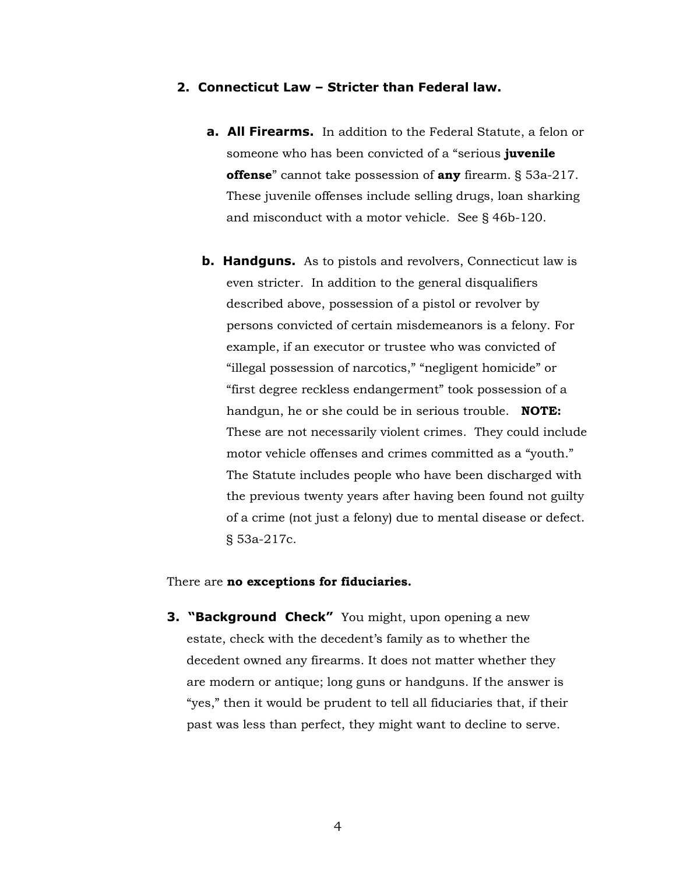### **2. Connecticut Law – Stricter than Federal law.**

- **a. All Firearms.** In addition to the Federal Statute, a felon or someone who has been convicted of a "serious **juvenile offense**" cannot take possession of **any** firearm. § 53a-217. These juvenile offenses include selling drugs, loan sharking and misconduct with a motor vehicle. See § 46b-120.
- **b. Handguns.** As to pistols and revolvers, Connecticut law is even stricter. In addition to the general disqualifiers described above, possession of a pistol or revolver by persons convicted of certain misdemeanors is a felony. For example, if an executor or trustee who was convicted of "illegal possession of narcotics," "negligent homicide" or "first degree reckless endangerment" took possession of a handgun, he or she could be in serious trouble. **NOTE:** These are not necessarily violent crimes. They could include motor vehicle offenses and crimes committed as a "youth." The Statute includes people who have been discharged with the previous twenty years after having been found not guilty of a crime (not just a felony) due to mental disease or defect. § 53a-217c.

#### There are **no exceptions for fiduciaries.**

**3. "Background Check"** You might, upon opening a new estate, check with the decedent's family as to whether the decedent owned any firearms. It does not matter whether they are modern or antique; long guns or handguns. If the answer is "yes," then it would be prudent to tell all fiduciaries that, if their past was less than perfect, they might want to decline to serve.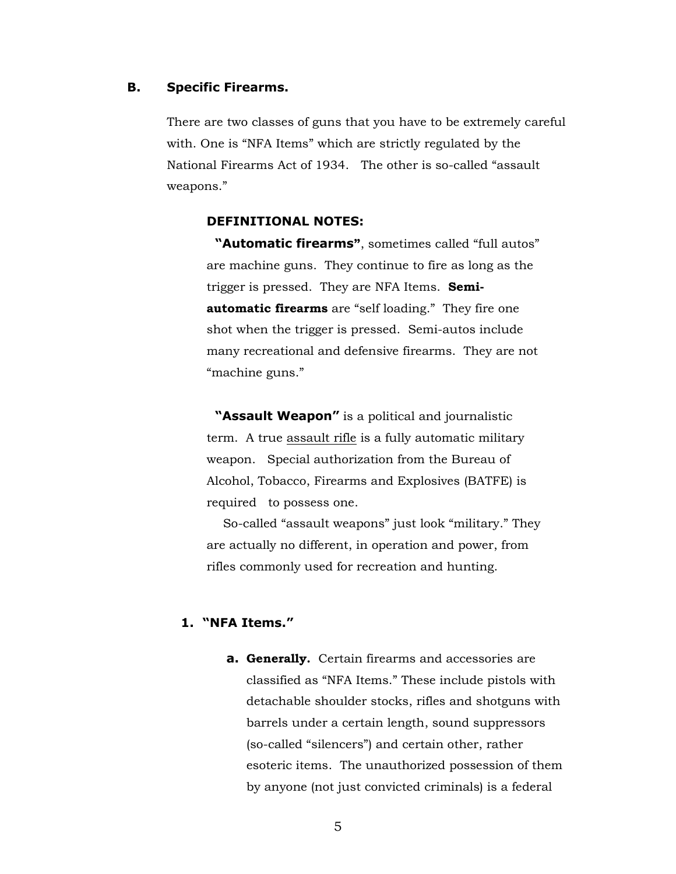#### **B. Specific Firearms.**

There are two classes of guns that you have to be extremely careful with. One is "NFA Items" which are strictly regulated by the National Firearms Act of 1934. The other is so-called "assault weapons."

#### **DEFINITIONAL NOTES:**

 **"Automatic firearms"**, sometimes called "full autos" are machine guns. They continue to fire as long as the trigger is pressed. They are NFA Items. **Semiautomatic firearms** are "self loading." They fire one shot when the trigger is pressed. Semi-autos include many recreational and defensive firearms. They are not "machine guns."

 **"Assault Weapon"** is a political and journalistic term. A true assault rifle is a fully automatic military weapon. Special authorization from the Bureau of Alcohol, Tobacco, Firearms and Explosives (BATFE) is required to possess one.

So-called "assault weapons" just look "military." They are actually no different, in operation and power, from rifles commonly used for recreation and hunting.

# **1. "NFA Items."**

**a. Generally.** Certain firearms and accessories are classified as "NFA Items." These include pistols with detachable shoulder stocks, rifles and shotguns with barrels under a certain length, sound suppressors (so-called "silencers") and certain other, rather esoteric items. The unauthorized possession of them by anyone (not just convicted criminals) is a federal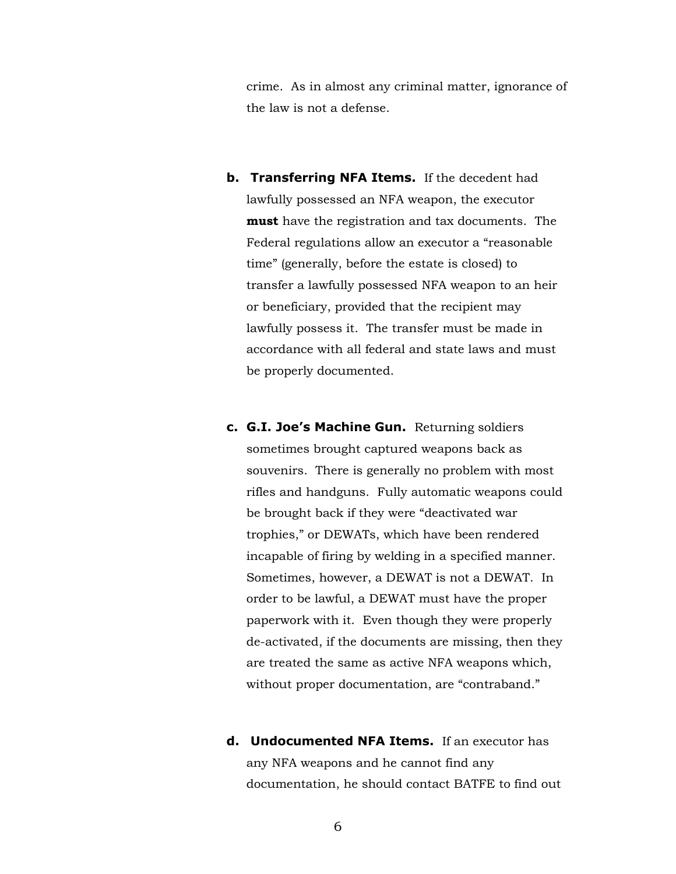crime. As in almost any criminal matter, ignorance of the law is not a defense.

- **b. Transferring NFA Items.** If the decedent had lawfully possessed an NFA weapon, the executor **must** have the registration and tax documents. The Federal regulations allow an executor a "reasonable time" (generally, before the estate is closed) to transfer a lawfully possessed NFA weapon to an heir or beneficiary, provided that the recipient may lawfully possess it. The transfer must be made in accordance with all federal and state laws and must be properly documented.
- **c. G.I. Joe's Machine Gun.** Returning soldiers sometimes brought captured weapons back as souvenirs. There is generally no problem with most rifles and handguns. Fully automatic weapons could be brought back if they were "deactivated war trophies," or DEWATs, which have been rendered incapable of firing by welding in a specified manner. Sometimes, however, a DEWAT is not a DEWAT. In order to be lawful, a DEWAT must have the proper paperwork with it. Even though they were properly de-activated, if the documents are missing, then they are treated the same as active NFA weapons which, without proper documentation, are "contraband."
- **d. Undocumented NFA Items.** If an executor has any NFA weapons and he cannot find any documentation, he should contact BATFE to find out
	- 6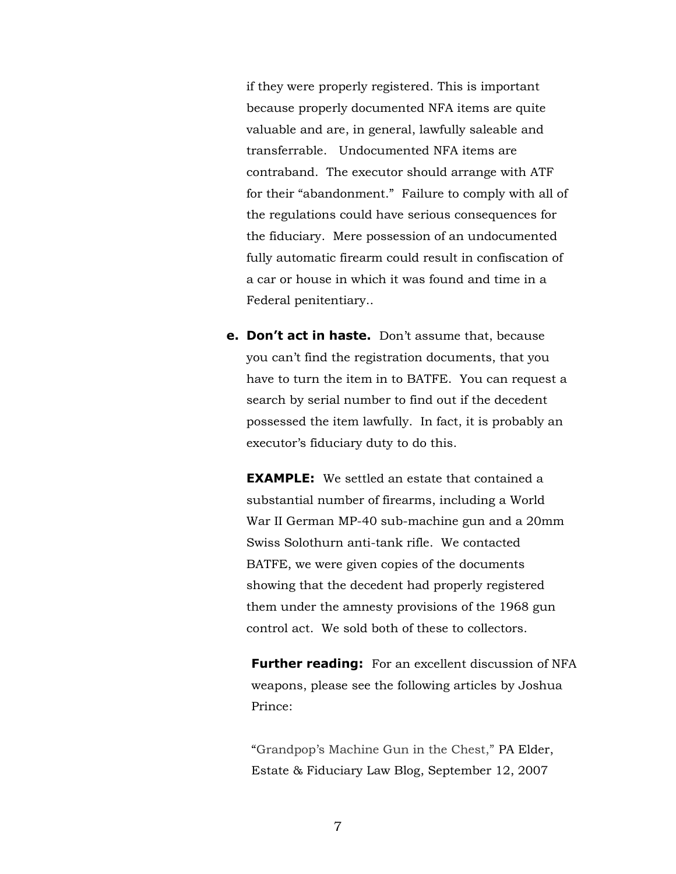if they were properly registered. This is important because properly documented NFA items are quite valuable and are, in general, lawfully saleable and transferrable. Undocumented NFA items are contraband. The executor should arrange with ATF for their "abandonment." Failure to comply with all of the regulations could have serious consequences for the fiduciary. Mere possession of an undocumented fully automatic firearm could result in confiscation of a car or house in which it was found and time in a Federal penitentiary..

**e. Don't act in haste.** Don't assume that, because you can't find the registration documents, that you have to turn the item in to BATFE. You can request a search by serial number to find out if the decedent possessed the item lawfully. In fact, it is probably an executor's fiduciary duty to do this.

**EXAMPLE:** We settled an estate that contained a substantial number of firearms, including a World War II German MP-40 sub-machine gun and a 20mm Swiss Solothurn anti-tank rifle. We contacted BATFE, we were given copies of the documents showing that the decedent had properly registered them under the amnesty provisions of the 1968 gun control act. We sold both of these to collectors.

**Further reading:** For an excellent discussion of NFA weapons, please see the following articles by Joshua Prince:

"Grandpop's Machine Gun in the Chest," [PA Elder,](http://paelderestatefiduciary.blogspot.com/)  [Estate & Fiduciary Law Blog,](http://paelderestatefiduciary.blogspot.com/) September 12, 2007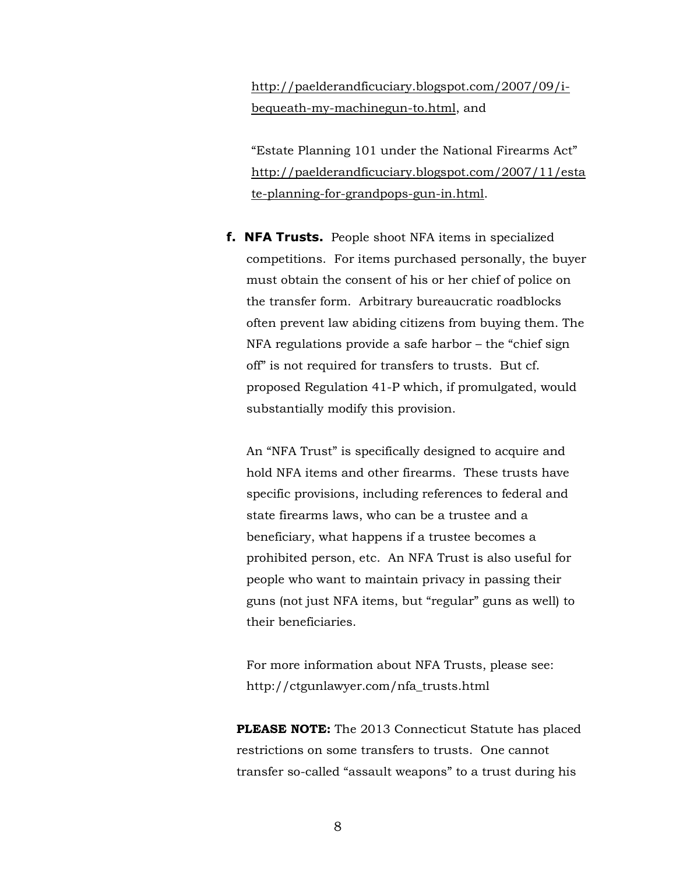[http://paelderandficuciary.blogspot.com/2007/09/i](http://paelderandficuciary.blogspot.com/2007/09/i-bequeath-my-machinegun-to.html)[bequeath-my-machinegun-to.html,](http://paelderandficuciary.blogspot.com/2007/09/i-bequeath-my-machinegun-to.html) and

"Estate Planning 101 under the National Firearms Act" [http://paelderandficuciary.blogspot.com/2007/11/esta](http://paelderandficuciary.blogspot.com/2007/11/estate-planning-for-grandpops-gun-in.html) [te-planning-for-grandpops-gun-in.html.](http://paelderandficuciary.blogspot.com/2007/11/estate-planning-for-grandpops-gun-in.html)

**f. NFA Trusts.** People shoot NFA items in specialized competitions. For items purchased personally, the buyer must obtain the consent of his or her chief of police on the transfer form. Arbitrary bureaucratic roadblocks often prevent law abiding citizens from buying them. The NFA regulations provide a safe harbor – the "chief sign off" is not required for transfers to trusts. But cf. proposed Regulation 41-P which, if promulgated, would substantially modify this provision.

An "NFA Trust" is specifically designed to acquire and hold NFA items and other firearms. These trusts have specific provisions, including references to federal and state firearms laws, who can be a trustee and a beneficiary, what happens if a trustee becomes a prohibited person, etc. An NFA Trust is also useful for people who want to maintain privacy in passing their guns (not just NFA items, but "regular" guns as well) to their beneficiaries.

For more information about NFA Trusts, please see: http://ctgunlawyer.com/nfa\_trusts.html

**PLEASE NOTE:** The 2013 Connecticut Statute has placed restrictions on some transfers to trusts. One cannot transfer so-called "assault weapons" to a trust during his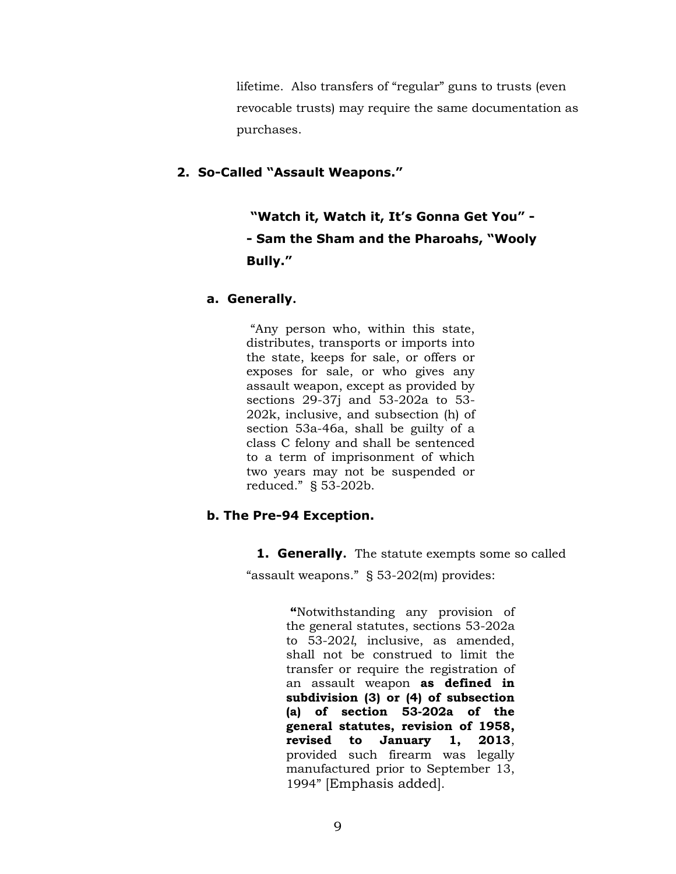lifetime. Also transfers of "regular" guns to trusts (even revocable trusts) may require the same documentation as purchases.

# **2. So-Called "Assault Weapons."**

**"Watch it, Watch it, It's Gonna Get You" - - Sam the Sham and the Pharoahs, "Wooly Bully."** 

# **a. Generally.**

"Any person who, within this state, distributes, transports or imports into the state, keeps for sale, or offers or exposes for sale, or who gives any assault weapon, except as provided by sections 29-37j and 53-202a to 53- 202k, inclusive, and subsection (h) of section 53a-46a, shall be guilty of a class C felony and shall be sentenced to a term of imprisonment of which two years may not be suspended or reduced." § 53-202b.

# **b. The Pre-94 Exception.**

**1. Generally.** The statute exempts some so called

"assault weapons." § 53-202(m) provides:

**"**Notwithstanding any provision of the general statutes, sections 53-202a to 53-202*l*, inclusive, as amended, shall not be construed to limit the transfer or require the registration of an assault weapon **as defined in subdivision (3) or (4) of subsection (a) of section 53-202a of the general statutes, revision of 1958, revised to January 1, 2013**, provided such firearm was legally manufactured prior to September 13, 1994" [Emphasis added].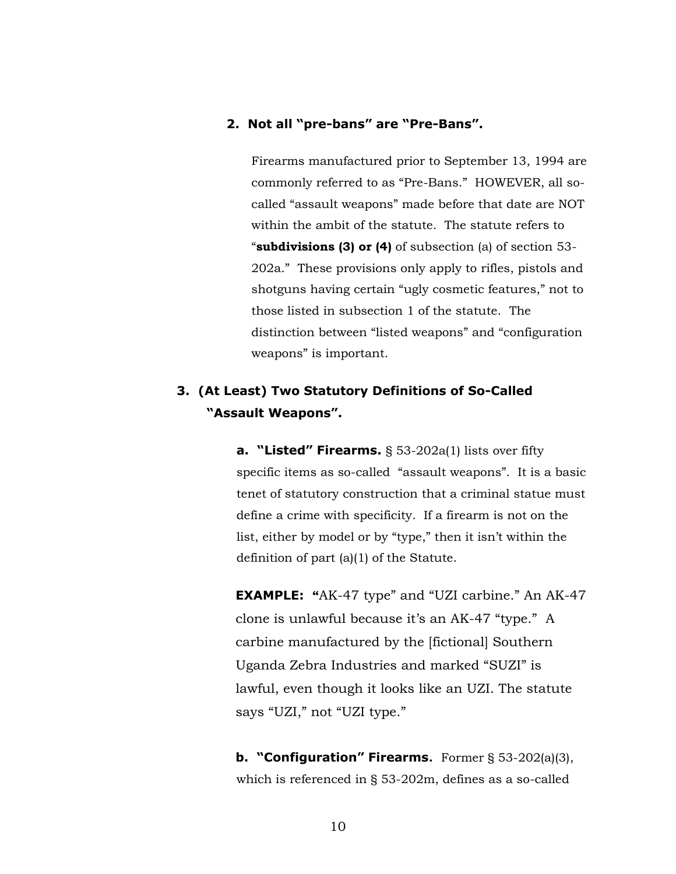# **2. Not all "pre-bans" are "Pre-Bans".**

Firearms manufactured prior to September 13, 1994 are commonly referred to as "Pre-Bans." HOWEVER, all socalled "assault weapons" made before that date are NOT within the ambit of the statute. The statute refers to "**subdivisions (3) or (4)** of subsection (a) of section 53- 202a." These provisions only apply to rifles, pistols and shotguns having certain "ugly cosmetic features," not to those listed in subsection 1 of the statute. The distinction between "listed weapons" and "configuration weapons" is important.

# **3. (At Least) Two Statutory Definitions of So-Called "Assault Weapons".**

**a. "Listed" Firearms.** § 53-202a(1) lists over fifty specific items as so-called "assault weapons". It is a basic tenet of statutory construction that a criminal statue must define a crime with specificity. If a firearm is not on the list, either by model or by "type," then it isn't within the definition of part (a)(1) of the Statute.

**EXAMPLE: "**AK-47 type" and "UZI carbine." An AK-47 clone is unlawful because it's an AK-47 "type." A carbine manufactured by the [fictional] Southern Uganda Zebra Industries and marked "SUZI" is lawful, even though it looks like an UZI. The statute says "UZI," not "UZI type."

**b. "Configuration" Firearms.** Former § 53-202(a)(3), which is referenced in § 53-202m, defines as a so-called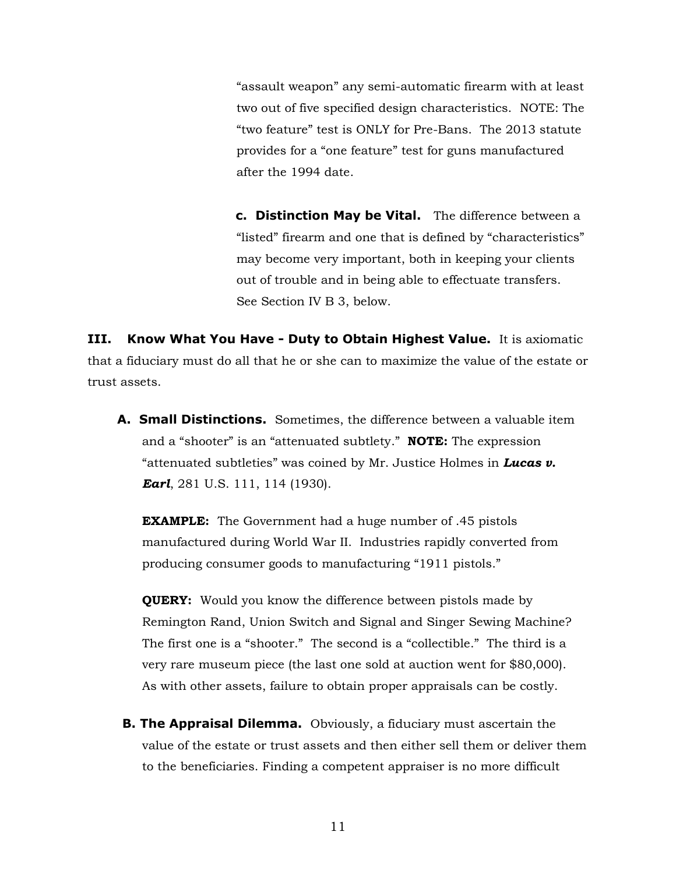"assault weapon" any semi-automatic firearm with at least two out of five specified design characteristics. NOTE: The "two feature" test is ONLY for Pre-Bans. The 2013 statute provides for a "one feature" test for guns manufactured after the 1994 date.

**c. Distinction May be Vital.** The difference between a "listed" firearm and one that is defined by "characteristics" may become very important, both in keeping your clients out of trouble and in being able to effectuate transfers. See Section IV B 3, below.

**III. Know What You Have - Duty to Obtain Highest Value.** It is axiomatic that a fiduciary must do all that he or she can to maximize the value of the estate or trust assets.

**A. Small Distinctions.** Sometimes, the difference between a valuable item and a "shooter" is an "attenuated subtlety." **NOTE:** The expression "attenuated subtleties" was coined by Mr. Justice Holmes in *Lucas v. Earl*, 281 U.S. 111, 114 (1930).

**EXAMPLE:** The Government had a huge number of .45 pistols manufactured during World War II. Industries rapidly converted from producing consumer goods to manufacturing "1911 pistols."

**QUERY:** Would you know the difference between pistols made by Remington Rand, Union Switch and Signal and Singer Sewing Machine? The first one is a "shooter." The second is a "collectible." The third is a very rare museum piece (the last one sold at auction went for \$80,000). As with other assets, failure to obtain proper appraisals can be costly.

**B. The Appraisal Dilemma.** Obviously, a fiduciary must ascertain the value of the estate or trust assets and then either sell them or deliver them to the beneficiaries. Finding a competent appraiser is no more difficult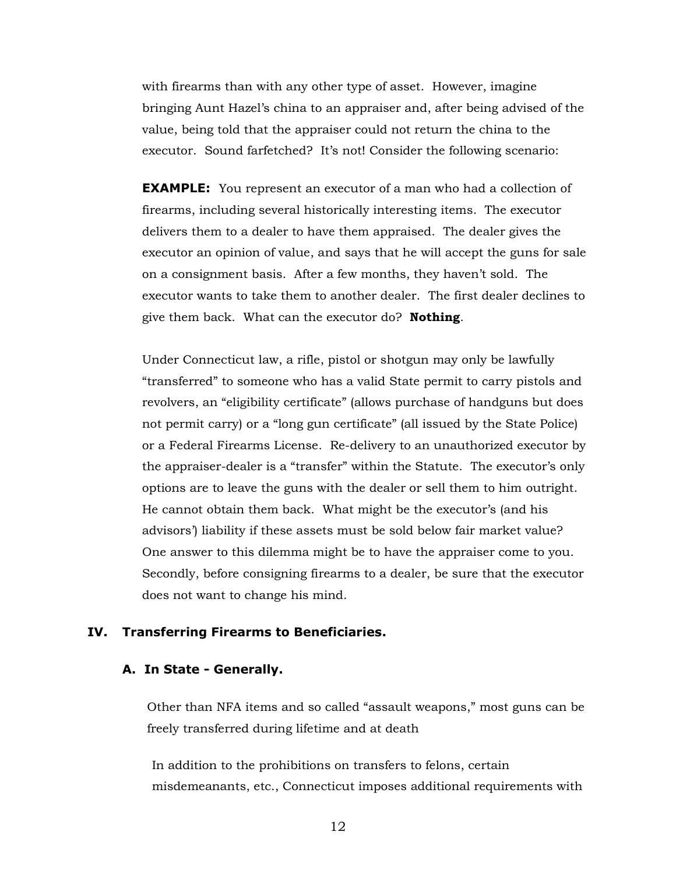with firearms than with any other type of asset. However, imagine bringing Aunt Hazel's china to an appraiser and, after being advised of the value, being told that the appraiser could not return the china to the executor. Sound farfetched? It's not! Consider the following scenario:

**EXAMPLE:** You represent an executor of a man who had a collection of firearms, including several historically interesting items. The executor delivers them to a dealer to have them appraised. The dealer gives the executor an opinion of value, and says that he will accept the guns for sale on a consignment basis. After a few months, they haven't sold. The executor wants to take them to another dealer. The first dealer declines to give them back. What can the executor do? **Nothing**.

Under Connecticut law, a rifle, pistol or shotgun may only be lawfully "transferred" to someone who has a valid State permit to carry pistols and revolvers, an "eligibility certificate" (allows purchase of handguns but does not permit carry) or a "long gun certificate" (all issued by the State Police) or a Federal Firearms License. Re-delivery to an unauthorized executor by the appraiser-dealer is a "transfer" within the Statute. The executor's only options are to leave the guns with the dealer or sell them to him outright. He cannot obtain them back. What might be the executor's (and his advisors') liability if these assets must be sold below fair market value? One answer to this dilemma might be to have the appraiser come to you. Secondly, before consigning firearms to a dealer, be sure that the executor does not want to change his mind.

#### **IV. Transferring Firearms to Beneficiaries.**

#### **A. In State - Generally.**

Other than NFA items and so called "assault weapons," most guns can be freely transferred during lifetime and at death

In addition to the prohibitions on transfers to felons, certain misdemeanants, etc., Connecticut imposes additional requirements with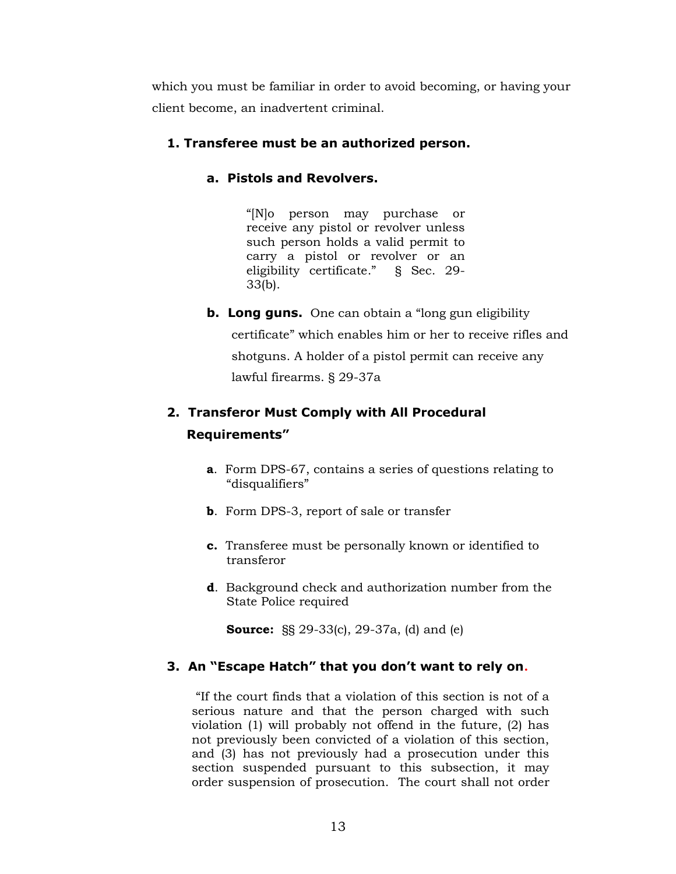which you must be familiar in order to avoid becoming, or having your client become, an inadvertent criminal.

# **1. Transferee must be an authorized person.**

# **a. Pistols and Revolvers.**

"[N]o person may purchase or receive any pistol or revolver unless such person holds a valid permit to carry a pistol or revolver or an eligibility certificate." § Sec. 29- 33(b).

**b. Long guns.** One can obtain a "long gun eligibility certificate" which enables him or her to receive rifles and shotguns. A holder of a pistol permit can receive any lawful firearms. § 29-37a

# **2. Transferor Must Comply with All Procedural Requirements"**

- **a**. Form DPS-67, contains a series of questions relating to "disqualifiers"
- **b**. Form DPS-3, report of sale or transfer
- **c.** Transferee must be personally known or identified to transferor
- **d**. Background check and authorization number from the State Police required

**Source:** §§ 29-33(c), 29-37a, (d) and (e)

# **3. An "Escape Hatch" that you don't want to rely on.**

"If the court finds that a violation of this section is not of a serious nature and that the person charged with such violation (1) will probably not offend in the future, (2) has not previously been convicted of a violation of this section, and (3) has not previously had a prosecution under this section suspended pursuant to this subsection, it may order suspension of prosecution. The court shall not order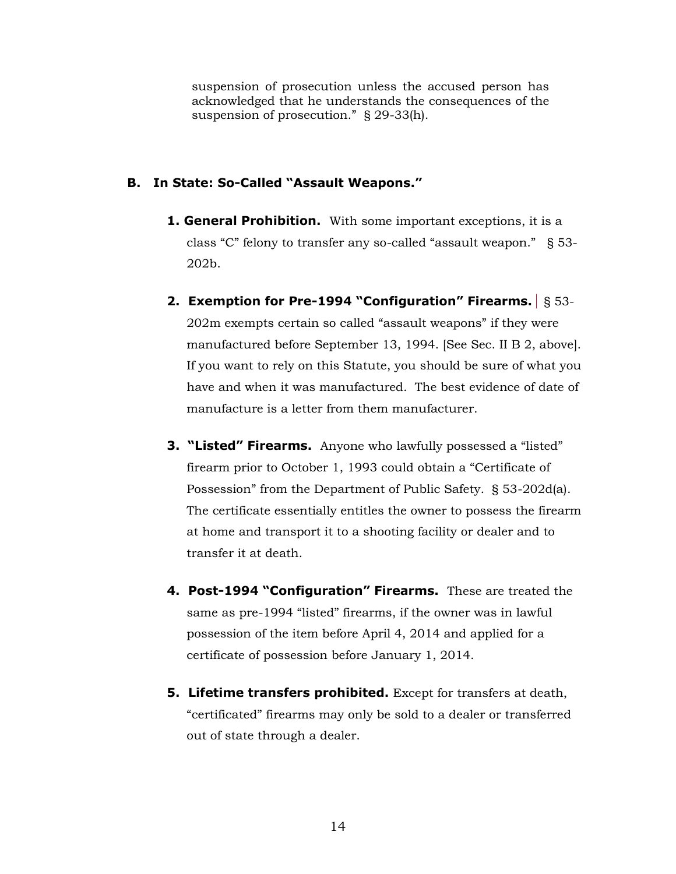suspension of prosecution unless the accused person has acknowledged that he understands the consequences of the suspension of prosecution." § 29-33(h).

# **B. In State: So-Called "Assault Weapons."**

- **1. General Prohibition.** With some important exceptions, it is a class "C" felony to transfer any so-called "assault weapon." § 53- 202b.
- **2. Exemption for Pre-1994 "Configuration" Firearms.** § 53- 202m exempts certain so called "assault weapons" if they were manufactured before September 13, 1994. [See Sec. II B 2, above]. If you want to rely on this Statute, you should be sure of what you have and when it was manufactured. The best evidence of date of manufacture is a letter from them manufacturer.
- **3. "Listed" Firearms.** Anyone who lawfully possessed a "listed" firearm prior to October 1, 1993 could obtain a "Certificate of Possession" from the Department of Public Safety. § 53-202d(a). The certificate essentially entitles the owner to possess the firearm at home and transport it to a shooting facility or dealer and to transfer it at death.
- **4. Post-1994 "Configuration" Firearms.** These are treated the same as pre-1994 "listed" firearms, if the owner was in lawful possession of the item before April 4, 2014 and applied for a certificate of possession before January 1, 2014.
- **5. Lifetime transfers prohibited.** Except for transfers at death, "certificated" firearms may only be sold to a dealer or transferred out of state through a dealer.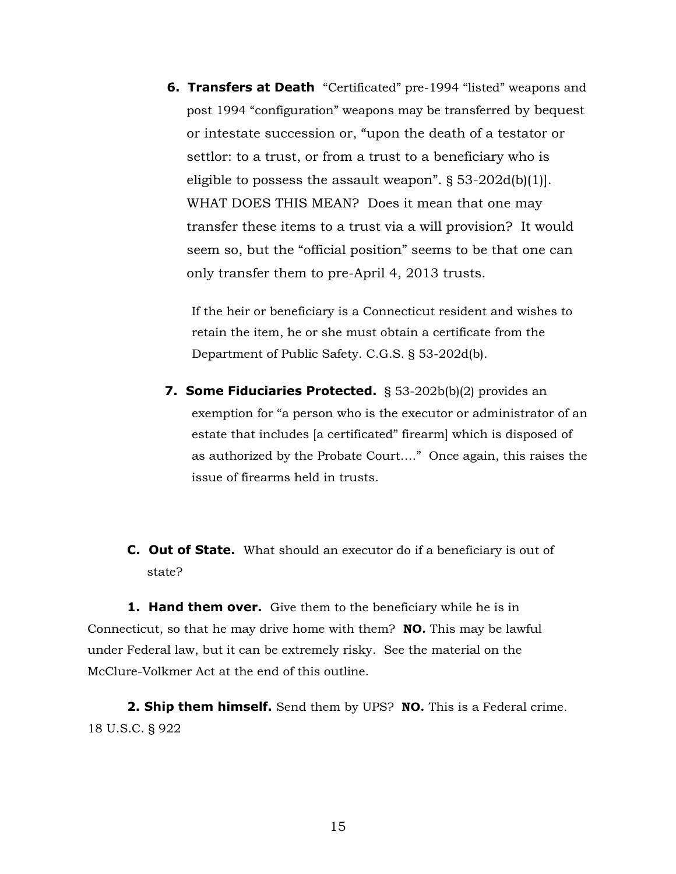**6. Transfers at Death** "Certificated" pre-1994 "listed" weapons and post 1994 "configuration" weapons may be transferred by bequest or intestate succession or, "upon the death of a testator or settlor: to a trust, or from a trust to a beneficiary who is eligible to possess the assault weapon". § 53-202d(b)(1)]. WHAT DOES THIS MEAN? Does it mean that one may transfer these items to a trust via a will provision? It would seem so, but the "official position" seems to be that one can only transfer them to pre-April 4, 2013 trusts.

If the heir or beneficiary is a Connecticut resident and wishes to retain the item, he or she must obtain a certificate from the Department of Public Safety. C.G.S. § 53-202d(b).

- **7. Some Fiduciaries Protected.** § 53-202b(b)(2) provides an exemption for "a person who is the executor or administrator of an estate that includes [a certificated" firearm] which is disposed of as authorized by the Probate Court…." Once again, this raises the issue of firearms held in trusts.
- **C. Out of State.** What should an executor do if a beneficiary is out of state?

**1. Hand them over.** Give them to the beneficiary while he is in Connecticut, so that he may drive home with them? **NO.** This may be lawful under Federal law, but it can be extremely risky. See the material on the McClure-Volkmer Act at the end of this outline.

**2. Ship them himself.** Send them by UPS? **NO.** This is a Federal crime. 18 U.S.C. § 922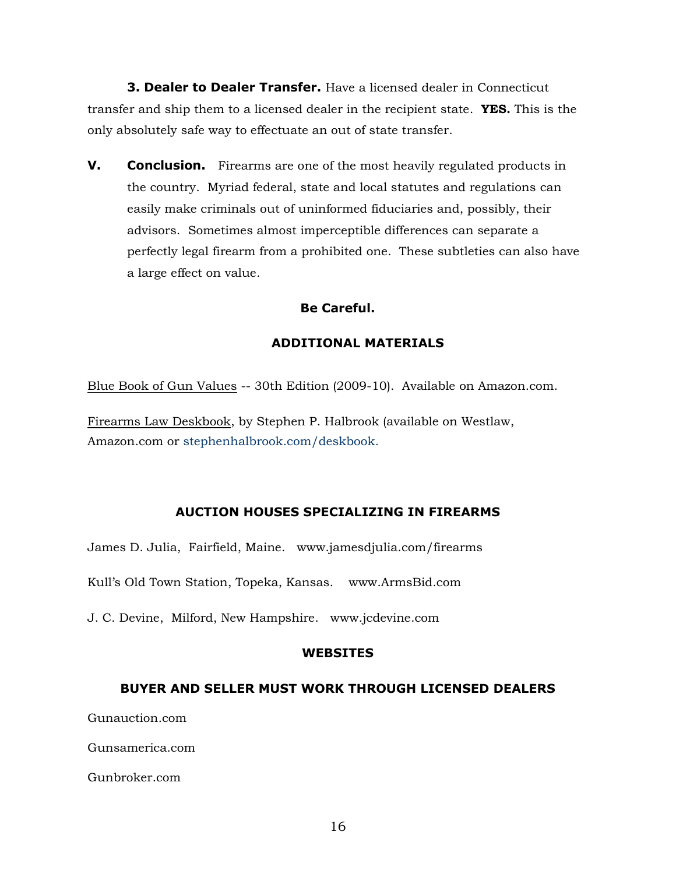**3. Dealer to Dealer Transfer.** Have a licensed dealer in Connecticut transfer and ship them to a licensed dealer in the recipient state. **YES.** This is the only absolutely safe way to effectuate an out of state transfer.

**V. Conclusion.** Firearms are one of the most heavily regulated products in the country. Myriad federal, state and local statutes and regulations can easily make criminals out of uninformed fiduciaries and, possibly, their advisors. Sometimes almost imperceptible differences can separate a perfectly legal firearm from a prohibited one. These subtleties can also have a large effect on value.

# **Be Careful.**

# **ADDITIONAL MATERIALS**

[Blue Book of Gun Values](http://store.bluebookinc.com/Affiliates/Gateway.asp?CID=211&industry=1) -- 30th Edition (2009-10). Available on Amazon.com.

[Firearms Law Deskbook,](http://www.stephenhalbrook.com/deskbook.html) by Stephen P. Halbrook (available on Westlaw, Amazon.com or stephenhalbrook.com/deskbook.

# **AUCTION HOUSES SPECIALIZING IN FIREARMS**

James D. Julia, Fairfield, Maine. www.jamesdjulia.com/firearms

Kull's Old Town Station, Topeka, Kansas. www.ArmsBid.com

J. C. Devine, Milford, New Hampshire. www.jcdevine.com

#### **WEBSITES**

#### **BUYER AND SELLER MUST WORK THROUGH LICENSED DEALERS**

Gunauction.com

Gunsamerica.com

Gunbroker.com